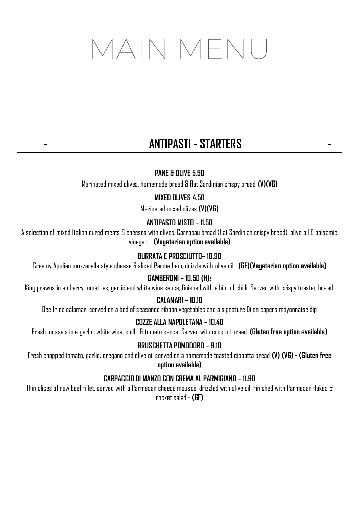# MAIN MENU

# - **ANTIPASTI - STARTERS** -

### **PANE & OLIVE 5.90**

Marinated mixed olives, homemade bread & flat Sardinian crispy bread **(V)(VG)**

#### **MIXED OLIVES 4.50**

Marinated mixed olives **(V)(VG)**

#### **ANTIPASTO MISTO – 11.50**

A selection of mixed Italian cured meats & cheeses with olives, Carrasau bread (flat Sardinian crispy bread), olive oil & balsamic vinegar – **(Vegetarian option available)**

#### **BURRATA E PROSCIUTTO– 10.90**

Creamy Apulian mozzarella style cheese & sliced Parma ham, drizzle with olive oil. **(GF)(Vegetarian option available)**

#### **GAMBERONI – 10.50 (H);**

King prawns in a cherry tomatoes, garlic and white wine sauce, finished with a hint of chilli. Served with crispy toasted bread.

#### **CALAMARI – 10.10**

Dee fried calamari served on a bed of seasoned ribbon vegetables and a signature Dijon capers mayonnaise dip

#### **COZZE ALLA NAPOLETANA – 10.40**

Fresh mussels in a garlic, white wine, chilli & tomato sauce. Served with crostini bread. **(Gluten free option available)**

#### **BRUSCHETTA POMODORO – 9.10**

Fresh chopped tomato, garlic, oregano and olive oil served on a homemade toasted ciabatta bread **(V) (VG) - (Gluten free option available)**

#### **CARPACCIO DI MANZO CON CREMA AL PARMIGIANO – 11.90**

Thin slices of raw beef fillet, served with a Parmesan cheese mousse, drizzled with olive oil. Finished with Parmesan flakes & rocket salad - **(GF)**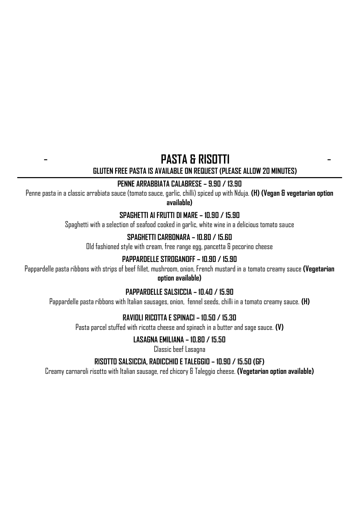# - **PASTA & RISOTTI**

-

**GLUTEN FREE PASTA IS AVAILABLE ON REQUEST (PLEASE ALLOW 20 MINUTES)**

### **PENNE ARRABBIATA CALABRESE – 9.90 / 13.90**

Penne pasta in a classic arrabiata sauce (tomato sauce, garlic, chilli) spiced up with Nduja. **(H) (Vegan & vegetarian option available)**

#### **SPAGHETTI AI FRUTTI DI MARE – 10.90 / 15.90**

Spaghetti with a selection of seafood cooked in garlic, white wine in a delicious tomato sauce

### **SPAGHETTI CARBONARA – 10.80 / 15.60**

Old fashioned style with cream, free range egg, pancetta & pecorino cheese

### **PAPPARDELLE STROGANOFF – 10.90 / 15.90**

Pappardelle pasta ribbons with strips of beef fillet, mushroom, onion, French mustard in a tomato creamy sauce **(Vegetarian option available)**

#### **PAPPARDELLE SALSICCIA – 10.40 / 15.90**

Pappardelle pasta ribbons with Italian sausages, onion, fennel seeds, chilli in a tomato creamy sauce. **(H)**

### **RAVIOLI RICOTTA E SPINACI – 10.50 / 15.30**

Pasta parcel stuffed with ricotta cheese and spinach in a butter and sage sauce. **(V)**

### **LASAGNA EMILIANA – 10.80 / 15.50**

Classic beef Lasagna

### **RISOTTO SALSICCIA, RADICCHIO E TALEGGIO – 10.90 / 15.50 (GF)**

Creamy carnaroli risotto with Italian sausage, red chicory & Taleggio cheese. **(Vegetarian option available)**